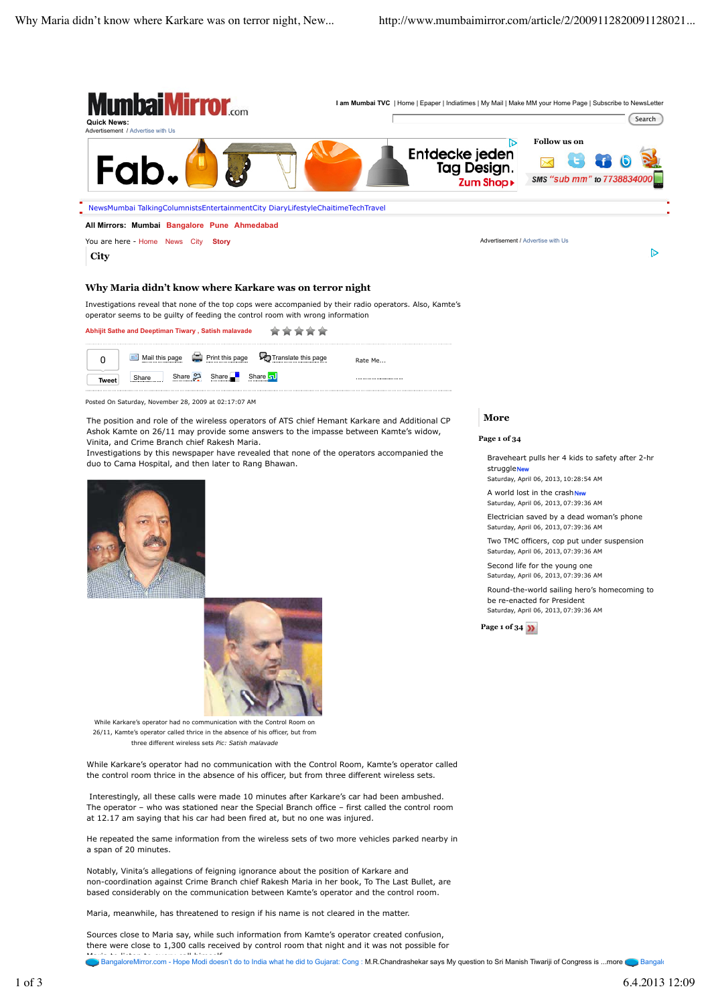

Maria, meanwhile, has threatened to resign if his name is not cleared in the matter.

Sources close to Maria say, while such information from Kamte's operator created confusion, there were close to 1,300 calls received by control room that night and it was not possible for

Maria to the call the call himself. In the call of the call do every call of the did to Gujarat: Cong : M.R.Chandrashekar says My question to Sri Manish Tiwariji of Congress is ...more BangaloreMirror.com - Hope Modi doesn